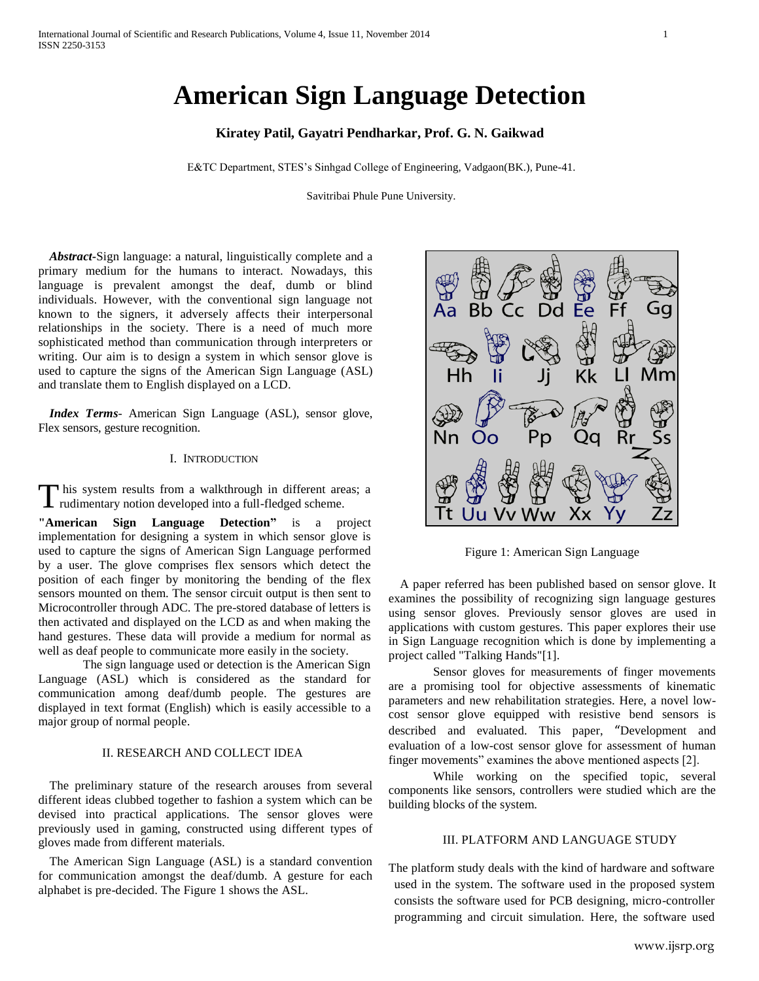# **American Sign Language Detection**

**Kiratey Patil, Gayatri Pendharkar, Prof. G. N. Gaikwad**

E&TC Department, STES's Sinhgad College of Engineering, Vadgaon(BK.), Pune-41.

Savitribai Phule Pune University.

*Abstract***-**Sign language: a natural, linguistically complete and a primary medium for the humans to interact. Nowadays, this language is prevalent amongst the deaf, dumb or blind individuals. However, with the conventional sign language not known to the signers, it adversely affects their interpersonal relationships in the society. There is a need of much more sophisticated method than communication through interpreters or writing. Our aim is to design a system in which sensor glove is used to capture the signs of the American Sign Language (ASL) and translate them to English displayed on a LCD.

*Index Terms*- American Sign Language (ASL), sensor glove, Flex sensors, gesture recognition.

#### I. INTRODUCTION

This system results from a walkthrough in different areas; a This system results from a walkthrough in different are rudimentary notion developed into a full-fledged scheme.

**"American Sign Language Detection"** is a project implementation for designing a system in which sensor glove is used to capture the signs of American Sign Language performed by a user. The glove comprises flex sensors which detect the position of each finger by monitoring the bending of the flex sensors mounted on them. The sensor circuit output is then sent to Microcontroller through ADC. The pre-stored database of letters is then activated and displayed on the LCD as and when making the hand gestures. These data will provide a medium for normal as well as deaf people to communicate more easily in the society.

The sign language used or detection is the American Sign Language (ASL) which is considered as the standard for communication among deaf/dumb people. The gestures are displayed in text format (English) which is easily accessible to a major group of normal people.

# II. RESEARCH AND COLLECT IDEA

The preliminary stature of the research arouses from several different ideas clubbed together to fashion a system which can be devised into practical applications. The sensor gloves were previously used in gaming, constructed using different types of gloves made from different materials.

The American Sign Language (ASL) is a standard convention for communication amongst the deaf/dumb. A gesture for each alphabet is pre-decided. The Figure 1 shows the ASL.



Figure 1: American Sign Language

A paper referred has been published based on sensor glove. It examines the possibility of recognizing sign language gestures using sensor gloves. Previously sensor gloves are used in applications with custom gestures. This paper explores their use in Sign Language recognition which is done by implementing a project called "Talking Hands"[1].

Sensor gloves for measurements of finger movements are a promising tool for objective assessments of kinematic parameters and new rehabilitation strategies. Here, a novel lowcost sensor glove equipped with resistive bend sensors is described and evaluated. This paper, "Development and evaluation of a low-cost sensor glove for assessment of human finger movements" examines the above mentioned aspects [2].

While working on the specified topic, several components like sensors, controllers were studied which are the building blocks of the system.

#### III. PLATFORM AND LANGUAGE STUDY

The platform study deals with the kind of hardware and software used in the system. The software used in the proposed system consists the software used for PCB designing, micro-controller programming and circuit simulation. Here, the software used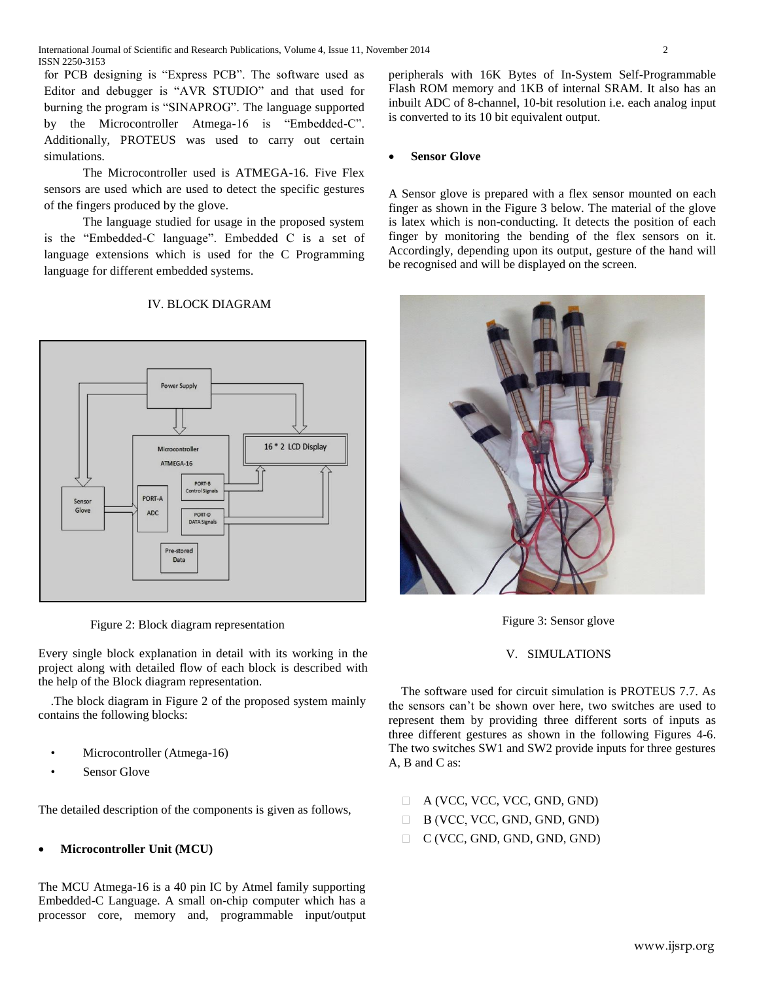for PCB designing is "Express PCB". The software used as Editor and debugger is "AVR STUDIO" and that used for burning the program is "SINAPROG". The language supported by the Microcontroller Atmega-16 is "Embedded-C". Additionally, PROTEUS was used to carry out certain simulations.

The Microcontroller used is ATMEGA-16. Five Flex sensors are used which are used to detect the specific gestures of the fingers produced by the glove.

The language studied for usage in the proposed system is the "Embedded-C language". Embedded C is a set of language extensions which is used for the C Programming language for different embedded systems.

### IV. BLOCK DIAGRAM



Figure 2: Block diagram representation

Every single block explanation in detail with its working in the project along with detailed flow of each block is described with the help of the Block diagram representation.

.The block diagram in Figure 2 of the proposed system mainly contains the following blocks:

- Microcontroller (Atmega-16)
- Sensor Glove

The detailed description of the components is given as follows,

#### **Microcontroller Unit (MCU)**

The MCU Atmega-16 is a 40 pin IC by Atmel family supporting Embedded-C Language. A small on-chip computer which has a processor core, memory and, programmable input/output

peripherals with 16K Bytes of In-System Self-Programmable Flash ROM memory and 1KB of internal SRAM. It also has an inbuilt ADC of 8-channel, 10-bit resolution i.e. each analog input is converted to its 10 bit equivalent output.

### **Sensor Glove**

A Sensor glove is prepared with a flex sensor mounted on each finger as shown in the Figure 3 below. The material of the glove is latex which is non-conducting. It detects the position of each finger by monitoring the bending of the flex sensors on it. Accordingly, depending upon its output, gesture of the hand will be recognised and will be displayed on the screen.



Figure 3: Sensor glove

#### V. SIMULATIONS

The software used for circuit simulation is PROTEUS 7.7. As the sensors can't be shown over here, two switches are used to represent them by providing three different sorts of inputs as three different gestures as shown in the following Figures 4-6. The two switches SW1 and SW2 provide inputs for three gestures A, B and C as:

- A (VCC, VCC, VCC, GND, GND)  $\Box$
- $\Box$ B (VCC, VCC, GND, GND, GND)
- C (VCC, GND, GND, GND, GND)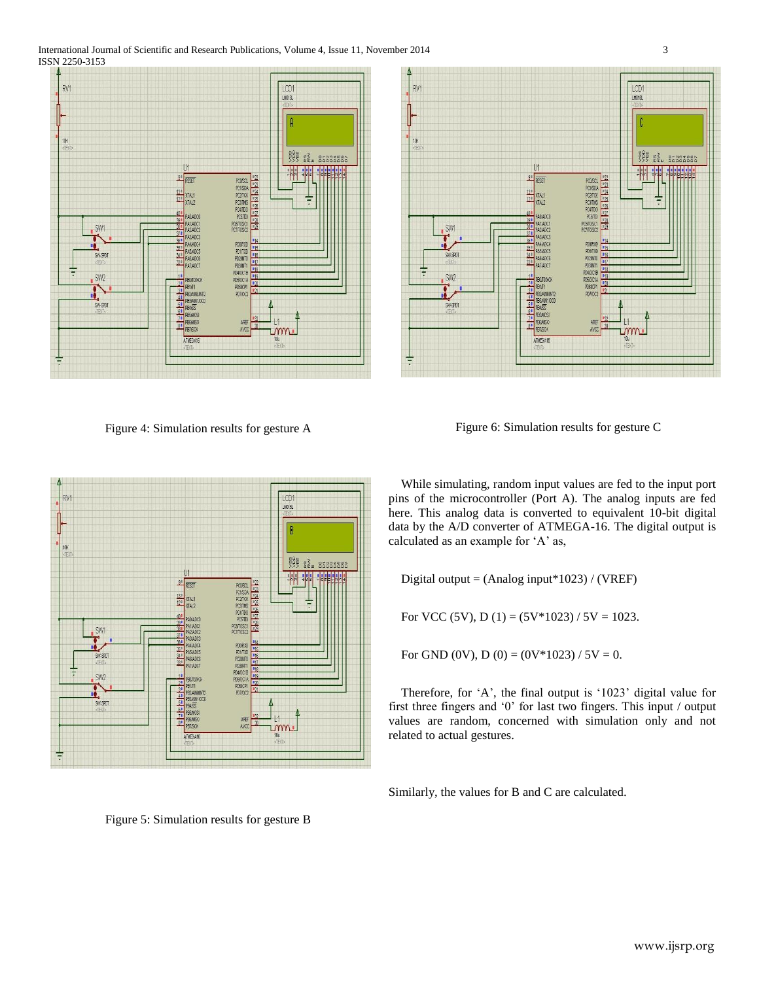International Journal of Scientific and Research Publications, Volume 4, Issue 11, November 2014 3 ISSN 2250-3153



Figure 4: Simulation results for gesture A



Figure 6: Simulation results for gesture C



While simulating, random input values are fed to the input port pins of the microcontroller (Port A). The analog inputs are fed here. This analog data is converted to equivalent 10-bit digital data by the A/D converter of ATMEGA-16. The digital output is calculated as an example for 'A' as,

Digital output = (Analog input\*1023) / (VREF)

For VCC (5V), D (1) = (5V\*1023) / 5V = 1023.

For GND (0V), D (0) =  $(0V*1023) / 5V = 0$ .

Therefore, for 'A', the final output is '1023' digital value for first three fingers and '0' for last two fingers. This input / output values are random, concerned with simulation only and not related to actual gestures.

Similarly, the values for B and C are calculated.

Figure 5: Simulation results for gesture B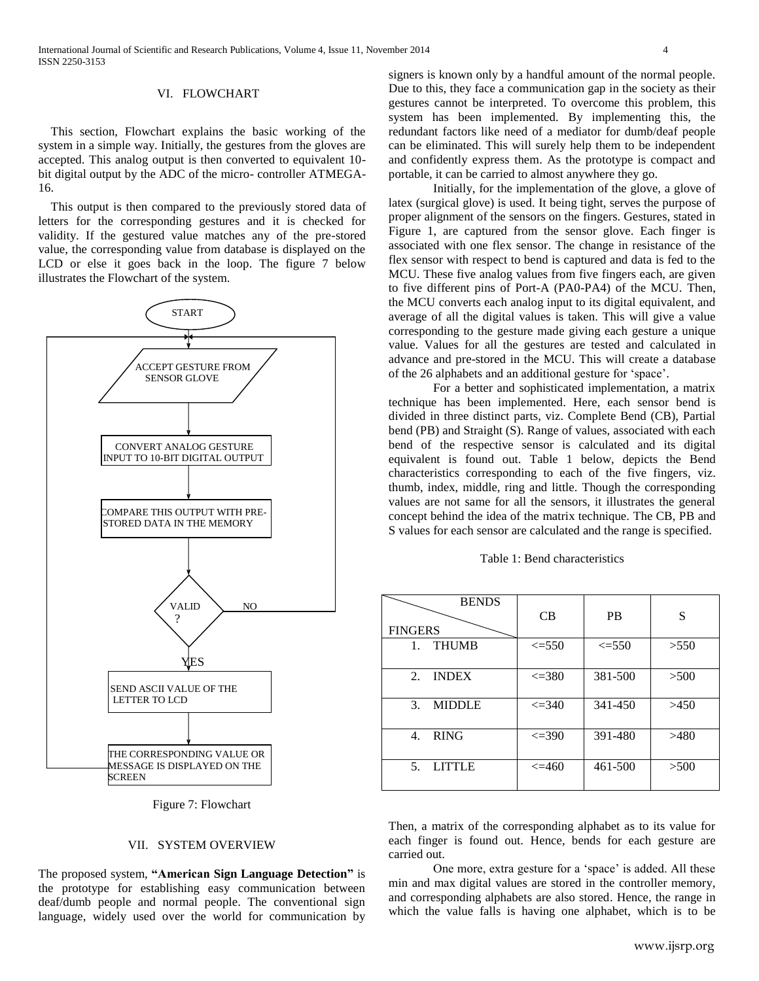#### VI. FLOWCHART

This section, Flowchart explains the basic working of the system in a simple way. Initially, the gestures from the gloves are accepted. This analog output is then converted to equivalent 10 bit digital output by the ADC of the micro- controller ATMEGA-16.

This output is then compared to the previously stored data of letters for the corresponding gestures and it is checked for validity. If the gestured value matches any of the pre-stored value, the corresponding value from database is displayed on the LCD or else it goes back in the loop. The figure 7 below illustrates the Flowchart of the system.



Figure 7: Flowchart

## VII. SYSTEM OVERVIEW

The proposed system, **"American Sign Language Detection"** is the prototype for establishing easy communication between deaf/dumb people and normal people. The conventional sign language, widely used over the world for communication by

signers is known only by a handful amount of the normal people. Due to this, they face a communication gap in the society as their gestures cannot be interpreted. To overcome this problem, this system has been implemented. By implementing this, the redundant factors like need of a mediator for dumb/deaf people can be eliminated. This will surely help them to be independent and confidently express them. As the prototype is compact and portable, it can be carried to almost anywhere they go.

Initially, for the implementation of the glove, a glove of latex (surgical glove) is used. It being tight, serves the purpose of proper alignment of the sensors on the fingers. Gestures, stated in Figure 1, are captured from the sensor glove. Each finger is associated with one flex sensor. The change in resistance of the flex sensor with respect to bend is captured and data is fed to the MCU. These five analog values from five fingers each, are given to five different pins of Port-A (PA0-PA4) of the MCU. Then, the MCU converts each analog input to its digital equivalent, and average of all the digital values is taken. This will give a value corresponding to the gesture made giving each gesture a unique value. Values for all the gestures are tested and calculated in advance and pre-stored in the MCU. This will create a database of the 26 alphabets and an additional gesture for 'space'.

For a better and sophisticated implementation, a matrix technique has been implemented. Here, each sensor bend is divided in three distinct parts, viz. Complete Bend (CB), Partial bend (PB) and Straight (S). Range of values, associated with each bend of the respective sensor is calculated and its digital equivalent is found out. Table 1 below, depicts the Bend characteristics corresponding to each of the five fingers, viz. thumb, index, middle, ring and little. Though the corresponding values are not same for all the sensors, it illustrates the general concept behind the idea of the matrix technique. The CB, PB and S values for each sensor are calculated and the range is specified.

|  | Table 1: Bend characteristics |
|--|-------------------------------|
|--|-------------------------------|

| <b>BENDS</b><br><b>FINGERS</b> | CB           | <b>PB</b>  | S    |
|--------------------------------|--------------|------------|------|
| <b>THUMB</b><br>$1_{-}$        | $\leq 550$   | $\leq 550$ | >550 |
| <b>INDEX</b><br>$2^{1}$        | $\leq$ 380   | 381-500    | >500 |
| <b>MIDDLE</b><br>3.            | $\leq$ = 340 | 341-450    | >450 |
| <b>RING</b><br>4.              | $\leq$ = 390 | 391-480    | >480 |
| <b>LITTLE</b><br>$5_{-}$       | $\leq$ =460  | 461-500    | >500 |

Then, a matrix of the corresponding alphabet as to its value for each finger is found out. Hence, bends for each gesture are carried out.

One more, extra gesture for a 'space' is added. All these min and max digital values are stored in the controller memory, and corresponding alphabets are also stored. Hence, the range in which the value falls is having one alphabet, which is to be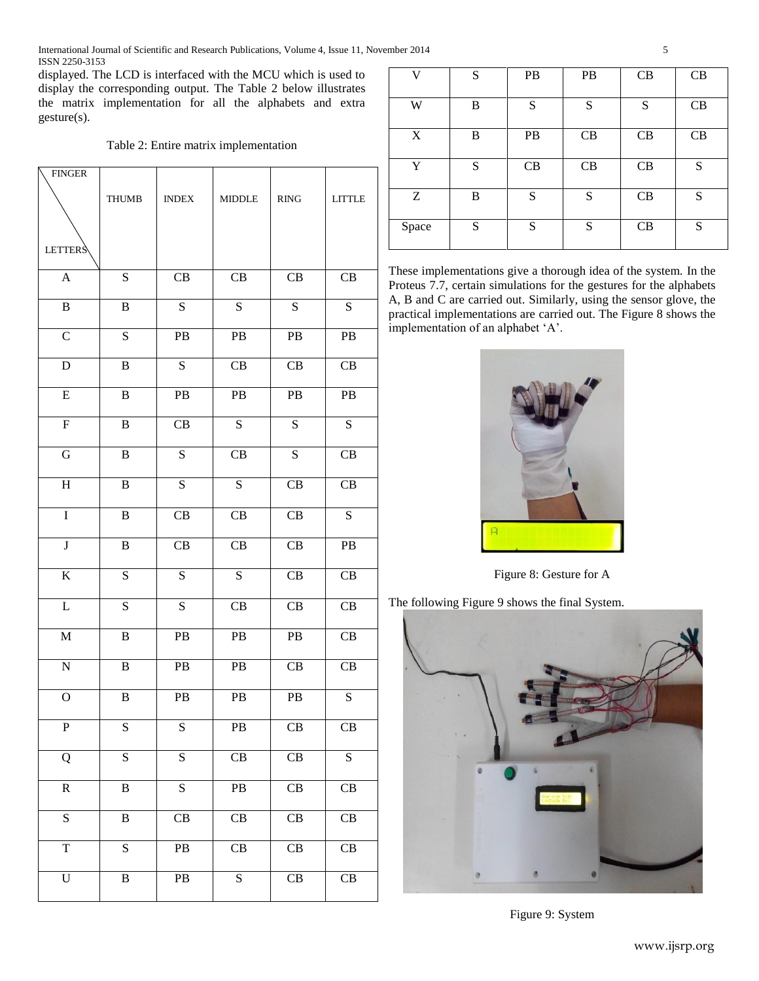International Journal of Scientific and Research Publications, Volume 4, Issue 11, November 2014 5 ISSN 2250-3153

displayed. The LCD is interfaced with the MCU which is used to display the corresponding output. The Table 2 below illustrates the matrix implementation for all the alphabets and extra gesture(s).

Table 2: Entire matrix implementation

| <b>FINGER</b>    | <b>THUMB</b>   | $\ensuremath{\mathsf{INDEX}}$ | <b>MIDDLE</b>          | $\mathbf{R}\mathbf{ING}$ | <b>LITTLE</b>          |
|------------------|----------------|-------------------------------|------------------------|--------------------------|------------------------|
| <b>LETTERS</b>   |                |                               |                        |                          |                        |
| $\boldsymbol{A}$ | ${\bf S}$      | $\operatorname{CB}$           | CB                     | CB                       | CB                     |
| $\overline{B}$   | $\, {\bf B}$   | $\overline{S}$                | $\overline{S}$         | $\overline{S}$           | $\overline{S}$         |
| $\overline{C}$   | $\overline{S}$ | PB                            | PB                     | $\rm{PB}$                | $\mathbf{PB}$          |
| $\mathbf D$      | $\, {\bf B}$   | ${\bf S}$                     | CB                     | CB                       | CB                     |
| ${\bf E}$        | $\, {\bf B}$   | $\mathbf{PB}$                 | PB                     | PB                       | PB                     |
| $\overline{F}$   | $\, {\bf B}$   | CB                            | $\overline{S}$         | $\overline{S}$           | $\overline{S}$         |
| G                | $\, {\bf B}$   | S                             | CB                     | ${\bf S}$                | CB                     |
| $\rm H$          | $\, {\bf B}$   | S                             | $\overline{S}$         | CB                       | CB                     |
| $\overline{I}$   | $\, {\bf B}$   | CB                            | CB                     | CB                       | ${\bf S}$              |
| $\bf J$          | $\, {\bf B}$   | CB                            | $\operatorname{CB}$    | CB                       | PB                     |
| $\rm K$          | ${\bf S}$      | ${\bf S}$                     | $\overline{S}$         | CB                       | CB                     |
| $\mathbf L$      | ${\bf S}$      | ${\bf S}$                     | CB                     | CB                       | CB                     |
| $\mathbf M$      | $\, {\bf B}$   | PB                            | PB                     | $\mathbf{PB}$            | CB                     |
| ${\bf N}$        | $\, {\bf B}$   | $\rm{PB}$                     | PB                     | CB                       | CB                     |
| $\overline{O}$   | $\, {\bf B}$   | ${\bf P}{\bf B}$              | PB                     | $\mathbf{PB}$            | S                      |
| $\mathbf P$      | S              | S                             | PB                     | CB                       | CB                     |
| Q                | ${\bf S}$      | ${\bf S}$                     | CB                     | CB                       | ${\bf S}$              |
| $\mathbf R$      | $\, {\bf B}$   | $\overline{S}$                | PB                     | CB                       | CB                     |
| S                | $\, {\bf B}$   | CB                            | CB                     | CB                       | CB                     |
| $\overline{T}$   | $\overline{S}$ | $\rm{PB}$                     | $\overline{\text{CB}}$ | $\overline{\text{CB}}$   | $\overline{CB}$        |
| $\overline{U}$   | $\, {\bf B}$   | PB                            | $\overline{S}$         | $\overline{CB}$          | $\overline{\text{CB}}$ |

| V     | S         | PB        | PB | CB | CB |
|-------|-----------|-----------|----|----|----|
| W     | B         | S         | S  | S  | CB |
|       |           |           |    |    |    |
| X     | B         | <b>PB</b> | CB | CB | CB |
|       |           |           |    |    |    |
| Y     | ${\bf S}$ | CB        | CB | CB | S  |
|       |           |           |    |    |    |
| Z     | B         | S         | S  | CB | S  |
|       |           |           |    |    |    |
| Space | S         | S         | S  | CB | S  |
|       |           |           |    |    |    |

These implementations give a thorough idea of the system. In the Proteus 7.7, certain simulations for the gestures for the alphabets A, B and C are carried out. Similarly, using the sensor glove, the practical implementations are carried out. The Figure 8 shows the implementation of an alphabet 'A'.



Figure 8: Gesture for A

The following Figure 9 shows the final System.



Figure 9: System